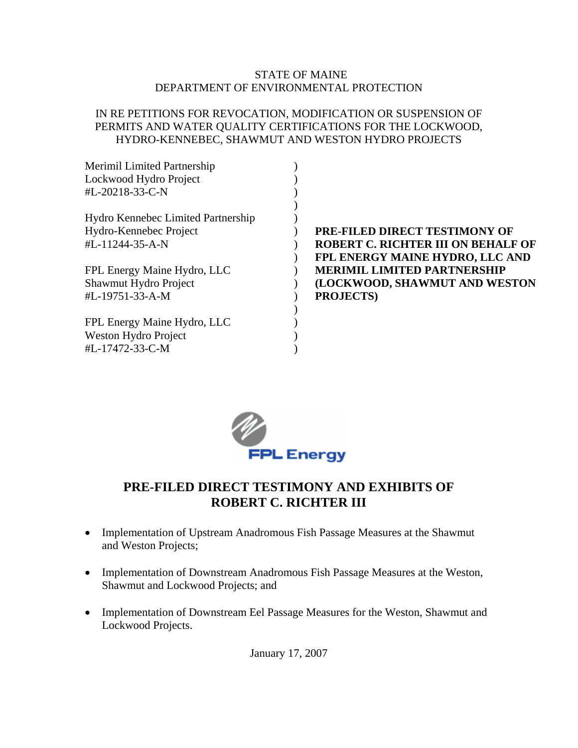### STATE OF MAINE DEPARTMENT OF ENVIRONMENTAL PROTECTION

### IN RE PETITIONS FOR REVOCATION, MODIFICATION OR SUSPENSION OF PERMITS AND WATER QUALITY CERTIFICATIONS FOR THE LOCKWOOD, HYDRO-KENNEBEC, SHAWMUT AND WESTON HYDRO PROJECTS

| <b>Merimil Limited Partnership</b> |                                           |
|------------------------------------|-------------------------------------------|
| Lockwood Hydro Project             |                                           |
| #L-20218-33-C-N                    |                                           |
|                                    |                                           |
| Hydro Kennebec Limited Partnership |                                           |
| Hydro-Kennebec Project             | <b>PRE-FILED DIRECT TESTIMONY OF</b>      |
| #L-11244-35-A-N                    | <b>ROBERT C. RICHTER III ON BEHALF OF</b> |
|                                    | FPL ENERGY MAINE HYDRO, LLC AND           |
| FPL Energy Maine Hydro, LLC        | <b>MERIMIL LIMITED PARTNERSHIP</b>        |
| Shawmut Hydro Project              | (LOCKWOOD, SHAWMUT AND WESTON             |
| #L-19751-33-A-M                    | <b>PROJECTS)</b>                          |
|                                    |                                           |
| FPL Energy Maine Hydro, LLC        |                                           |
| Weston Hydro Project               |                                           |
| #L-17472-33-C-M                    |                                           |
|                                    |                                           |



# **PRE-FILED DIRECT TESTIMONY AND EXHIBITS OF ROBERT C. RICHTER III**

- Implementation of Upstream Anadromous Fish Passage Measures at the Shawmut and Weston Projects;
- Implementation of Downstream Anadromous Fish Passage Measures at the Weston, Shawmut and Lockwood Projects; and
- Implementation of Downstream Eel Passage Measures for the Weston, Shawmut and Lockwood Projects.

January 17, 2007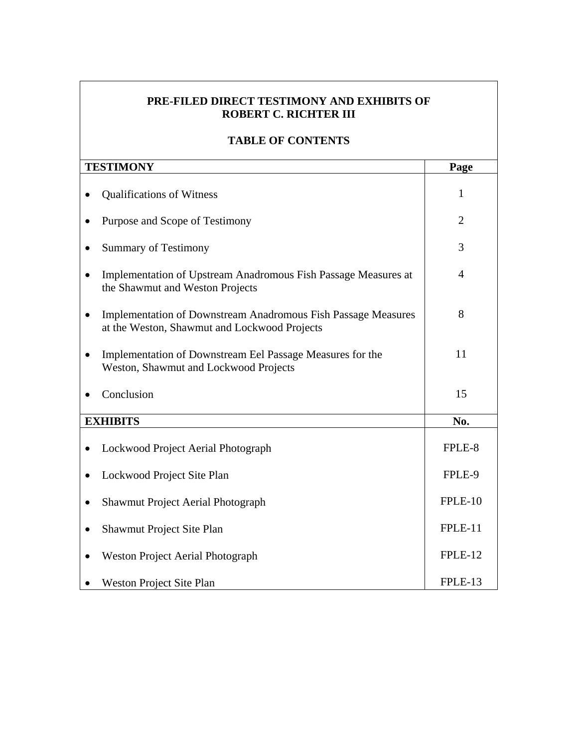### **PRE-FILED DIRECT TESTIMONY AND EXHIBITS OF ROBERT C. RICHTER III**

## **TABLE OF CONTENTS**

| <b>TESTIMONY</b>                                                                                                     | Page           |
|----------------------------------------------------------------------------------------------------------------------|----------------|
| <b>Qualifications of Witness</b>                                                                                     | 1              |
| Purpose and Scope of Testimony                                                                                       | $\overline{2}$ |
| <b>Summary of Testimony</b>                                                                                          | 3              |
| Implementation of Upstream Anadromous Fish Passage Measures at<br>the Shawmut and Weston Projects                    | $\overline{4}$ |
| <b>Implementation of Downstream Anadromous Fish Passage Measures</b><br>at the Weston, Shawmut and Lockwood Projects | 8              |
| Implementation of Downstream Eel Passage Measures for the<br>Weston, Shawmut and Lockwood Projects                   | 11             |
| Conclusion                                                                                                           | 15             |
| <b>EXHIBITS</b>                                                                                                      | No.            |
| Lockwood Project Aerial Photograph                                                                                   | FPLE-8         |
| Lockwood Project Site Plan                                                                                           | FPLE-9         |
| <b>Shawmut Project Aerial Photograph</b>                                                                             | FPLE-10        |
| Shawmut Project Site Plan                                                                                            | FPLE-11        |
| <b>Weston Project Aerial Photograph</b>                                                                              | FPLE-12        |
| <b>Weston Project Site Plan</b>                                                                                      | FPLE-13        |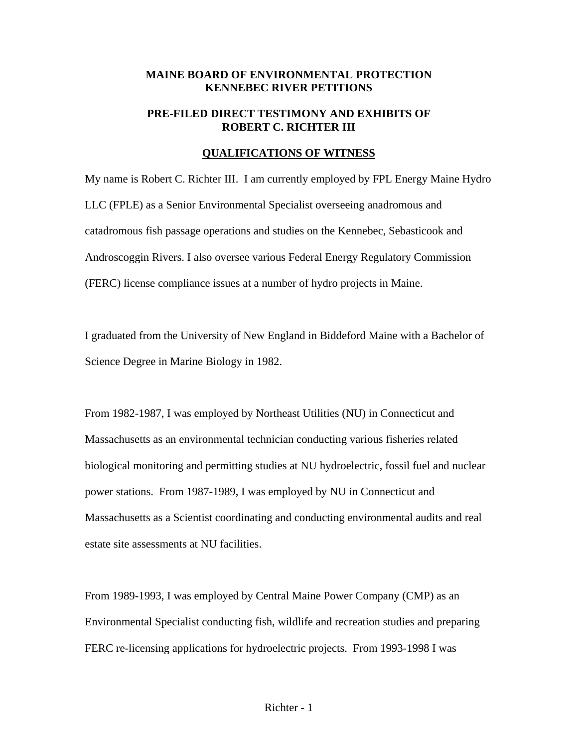### **MAINE BOARD OF ENVIRONMENTAL PROTECTION KENNEBEC RIVER PETITIONS**

### **PRE-FILED DIRECT TESTIMONY AND EXHIBITS OF ROBERT C. RICHTER III**

#### **QUALIFICATIONS OF WITNESS**

My name is Robert C. Richter III. I am currently employed by FPL Energy Maine Hydro LLC (FPLE) as a Senior Environmental Specialist overseeing anadromous and catadromous fish passage operations and studies on the Kennebec, Sebasticook and Androscoggin Rivers. I also oversee various Federal Energy Regulatory Commission (FERC) license compliance issues at a number of hydro projects in Maine.

I graduated from the University of New England in Biddeford Maine with a Bachelor of Science Degree in Marine Biology in 1982.

From 1982-1987, I was employed by Northeast Utilities (NU) in Connecticut and Massachusetts as an environmental technician conducting various fisheries related biological monitoring and permitting studies at NU hydroelectric, fossil fuel and nuclear power stations. From 1987-1989, I was employed by NU in Connecticut and Massachusetts as a Scientist coordinating and conducting environmental audits and real estate site assessments at NU facilities.

From 1989-1993, I was employed by Central Maine Power Company (CMP) as an Environmental Specialist conducting fish, wildlife and recreation studies and preparing FERC re-licensing applications for hydroelectric projects. From 1993-1998 I was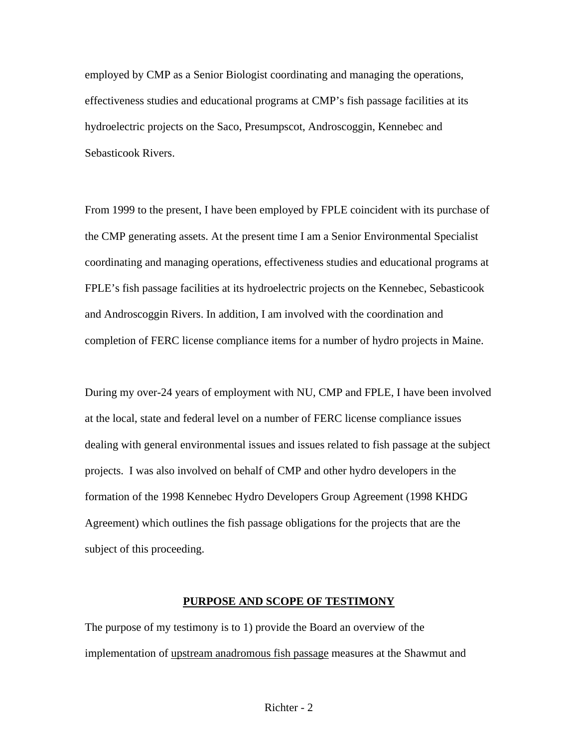employed by CMP as a Senior Biologist coordinating and managing the operations, effectiveness studies and educational programs at CMP's fish passage facilities at its hydroelectric projects on the Saco, Presumpscot, Androscoggin, Kennebec and Sebasticook Rivers.

From 1999 to the present, I have been employed by FPLE coincident with its purchase of the CMP generating assets. At the present time I am a Senior Environmental Specialist coordinating and managing operations, effectiveness studies and educational programs at FPLE's fish passage facilities at its hydroelectric projects on the Kennebec, Sebasticook and Androscoggin Rivers. In addition, I am involved with the coordination and completion of FERC license compliance items for a number of hydro projects in Maine.

During my over-24 years of employment with NU, CMP and FPLE, I have been involved at the local, state and federal level on a number of FERC license compliance issues dealing with general environmental issues and issues related to fish passage at the subject projects. I was also involved on behalf of CMP and other hydro developers in the formation of the 1998 Kennebec Hydro Developers Group Agreement (1998 KHDG Agreement) which outlines the fish passage obligations for the projects that are the subject of this proceeding.

#### **PURPOSE AND SCOPE OF TESTIMONY**

The purpose of my testimony is to 1) provide the Board an overview of the implementation of upstream anadromous fish passage measures at the Shawmut and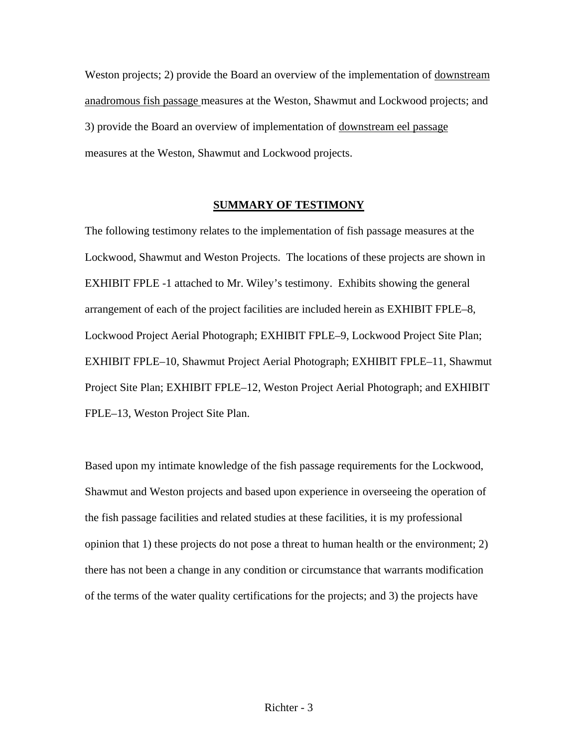Weston projects; 2) provide the Board an overview of the implementation of downstream anadromous fish passage measures at the Weston, Shawmut and Lockwood projects; and 3) provide the Board an overview of implementation of downstream eel passage measures at the Weston, Shawmut and Lockwood projects.

### **SUMMARY OF TESTIMONY**

The following testimony relates to the implementation of fish passage measures at the Lockwood, Shawmut and Weston Projects. The locations of these projects are shown in EXHIBIT FPLE -1 attached to Mr. Wiley's testimony. Exhibits showing the general arrangement of each of the project facilities are included herein as EXHIBIT FPLE–8, Lockwood Project Aerial Photograph; EXHIBIT FPLE–9, Lockwood Project Site Plan; EXHIBIT FPLE–10, Shawmut Project Aerial Photograph; EXHIBIT FPLE–11, Shawmut Project Site Plan; EXHIBIT FPLE–12, Weston Project Aerial Photograph; and EXHIBIT FPLE–13, Weston Project Site Plan.

Based upon my intimate knowledge of the fish passage requirements for the Lockwood, Shawmut and Weston projects and based upon experience in overseeing the operation of the fish passage facilities and related studies at these facilities, it is my professional opinion that 1) these projects do not pose a threat to human health or the environment; 2) there has not been a change in any condition or circumstance that warrants modification of the terms of the water quality certifications for the projects; and 3) the projects have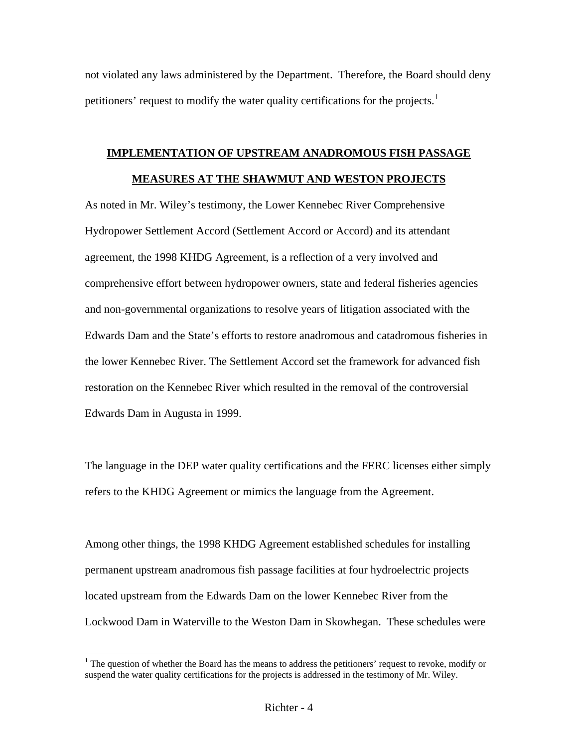not violated any laws administered by the Department. Therefore, the Board should deny petitioners' request to modify the water quality certifications for the projects.<sup>[1](#page-5-0)</sup>

# **IMPLEMENTATION OF UPSTREAM ANADROMOUS FISH PASSAGE MEASURES AT THE SHAWMUT AND WESTON PROJECTS**

As noted in Mr. Wiley's testimony, the Lower Kennebec River Comprehensive Hydropower Settlement Accord (Settlement Accord or Accord) and its attendant agreement, the 1998 KHDG Agreement, is a reflection of a very involved and comprehensive effort between hydropower owners, state and federal fisheries agencies and non-governmental organizations to resolve years of litigation associated with the Edwards Dam and the State's efforts to restore anadromous and catadromous fisheries in the lower Kennebec River. The Settlement Accord set the framework for advanced fish restoration on the Kennebec River which resulted in the removal of the controversial Edwards Dam in Augusta in 1999.

The language in the DEP water quality certifications and the FERC licenses either simply refers to the KHDG Agreement or mimics the language from the Agreement.

Among other things, the 1998 KHDG Agreement established schedules for installing permanent upstream anadromous fish passage facilities at four hydroelectric projects located upstream from the Edwards Dam on the lower Kennebec River from the Lockwood Dam in Waterville to the Weston Dam in Skowhegan. These schedules were

<span id="page-5-0"></span> $<sup>1</sup>$  The question of whether the Board has the means to address the petitioners' request to revoke, modify or</sup> suspend the water quality certifications for the projects is addressed in the testimony of Mr. Wiley.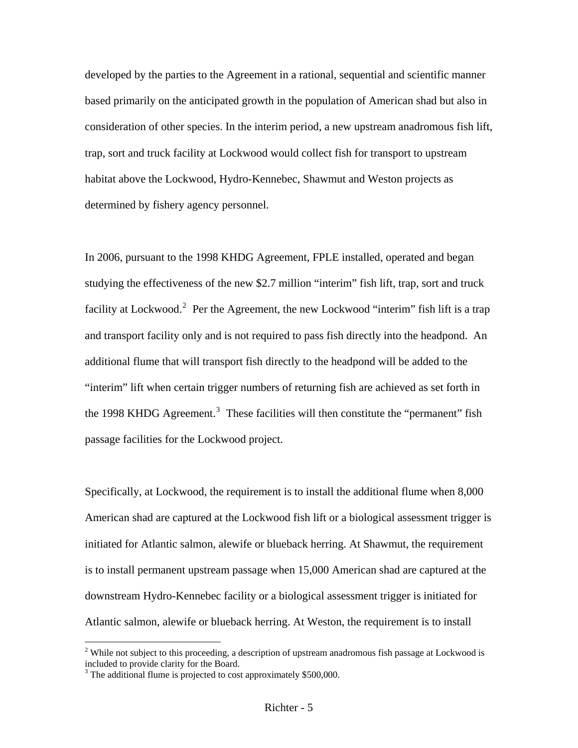developed by the parties to the Agreement in a rational, sequential and scientific manner based primarily on the anticipated growth in the population of American shad but also in consideration of other species. In the interim period, a new upstream anadromous fish lift, trap, sort and truck facility at Lockwood would collect fish for transport to upstream habitat above the Lockwood, Hydro-Kennebec, Shawmut and Weston projects as determined by fishery agency personnel.

In 2006, pursuant to the 1998 KHDG Agreement, FPLE installed, operated and began studying the effectiveness of the new \$2.7 million "interim" fish lift, trap, sort and truck facility at Lockwood.<sup>[2](#page-6-0)</sup> Per the Agreement, the new Lockwood "interim" fish lift is a trap and transport facility only and is not required to pass fish directly into the headpond. An additional flume that will transport fish directly to the headpond will be added to the "interim" lift when certain trigger numbers of returning fish are achieved as set forth in the 1998 KHDG Agreement.<sup>[3](#page-6-1)</sup> These facilities will then constitute the "permanent" fish passage facilities for the Lockwood project.

Specifically, at Lockwood, the requirement is to install the additional flume when 8,000 American shad are captured at the Lockwood fish lift or a biological assessment trigger is initiated for Atlantic salmon, alewife or blueback herring. At Shawmut, the requirement is to install permanent upstream passage when 15,000 American shad are captured at the downstream Hydro-Kennebec facility or a biological assessment trigger is initiated for Atlantic salmon, alewife or blueback herring. At Weston, the requirement is to install

<span id="page-6-0"></span> $2$  While not subject to this proceeding, a description of upstream anadromous fish passage at Lockwood is included to provide clarity for the Board.

<span id="page-6-1"></span><sup>&</sup>lt;sup>3</sup> The additional flume is projected to cost approximately \$500,000.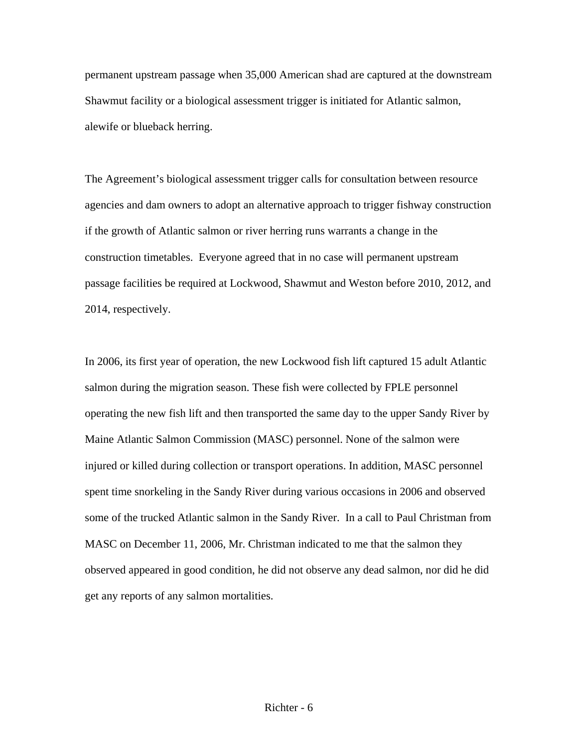permanent upstream passage when 35,000 American shad are captured at the downstream Shawmut facility or a biological assessment trigger is initiated for Atlantic salmon, alewife or blueback herring.

The Agreement's biological assessment trigger calls for consultation between resource agencies and dam owners to adopt an alternative approach to trigger fishway construction if the growth of Atlantic salmon or river herring runs warrants a change in the construction timetables. Everyone agreed that in no case will permanent upstream passage facilities be required at Lockwood, Shawmut and Weston before 2010, 2012, and 2014, respectively.

In 2006, its first year of operation, the new Lockwood fish lift captured 15 adult Atlantic salmon during the migration season. These fish were collected by FPLE personnel operating the new fish lift and then transported the same day to the upper Sandy River by Maine Atlantic Salmon Commission (MASC) personnel. None of the salmon were injured or killed during collection or transport operations. In addition, MASC personnel spent time snorkeling in the Sandy River during various occasions in 2006 and observed some of the trucked Atlantic salmon in the Sandy River. In a call to Paul Christman from MASC on December 11, 2006, Mr. Christman indicated to me that the salmon they observed appeared in good condition, he did not observe any dead salmon, nor did he did get any reports of any salmon mortalities.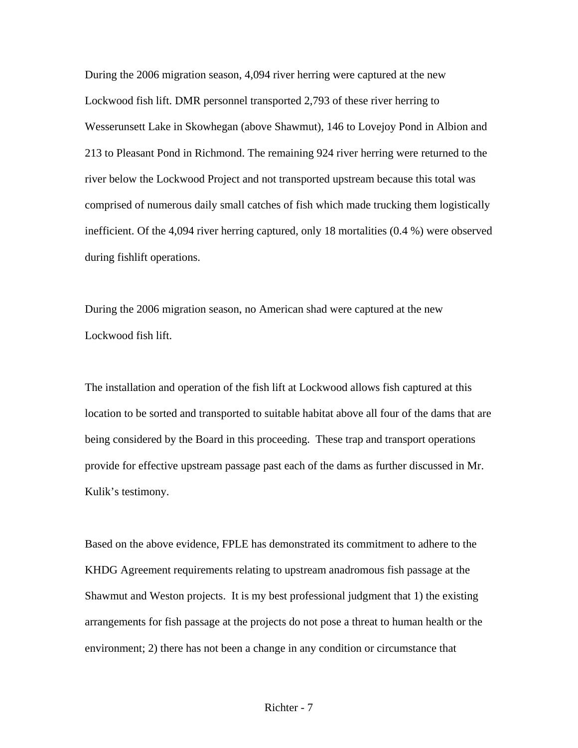During the 2006 migration season, 4,094 river herring were captured at the new Lockwood fish lift. DMR personnel transported 2,793 of these river herring to Wesserunsett Lake in Skowhegan (above Shawmut), 146 to Lovejoy Pond in Albion and 213 to Pleasant Pond in Richmond. The remaining 924 river herring were returned to the river below the Lockwood Project and not transported upstream because this total was comprised of numerous daily small catches of fish which made trucking them logistically inefficient. Of the 4,094 river herring captured, only 18 mortalities (0.4 %) were observed during fishlift operations.

During the 2006 migration season, no American shad were captured at the new Lockwood fish lift.

The installation and operation of the fish lift at Lockwood allows fish captured at this location to be sorted and transported to suitable habitat above all four of the dams that are being considered by the Board in this proceeding. These trap and transport operations provide for effective upstream passage past each of the dams as further discussed in Mr. Kulik's testimony.

Based on the above evidence, FPLE has demonstrated its commitment to adhere to the KHDG Agreement requirements relating to upstream anadromous fish passage at the Shawmut and Weston projects. It is my best professional judgment that 1) the existing arrangements for fish passage at the projects do not pose a threat to human health or the environment; 2) there has not been a change in any condition or circumstance that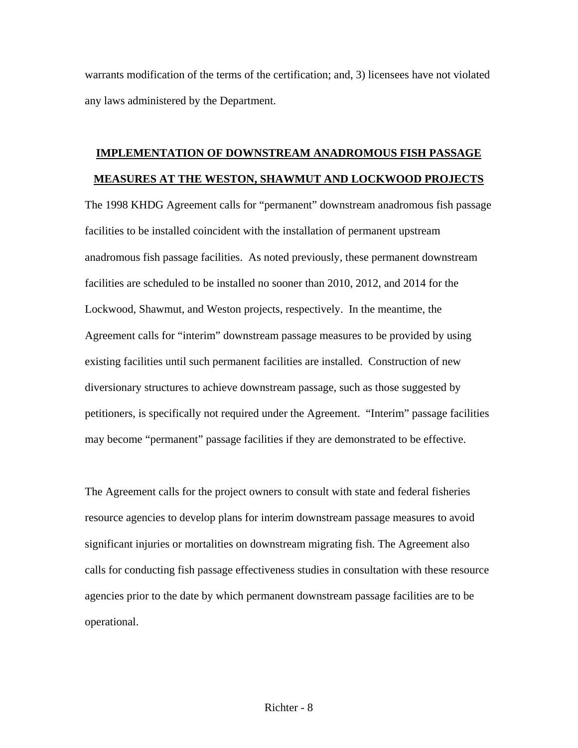warrants modification of the terms of the certification; and, 3) licensees have not violated any laws administered by the Department.

# **IMPLEMENTATION OF DOWNSTREAM ANADROMOUS FISH PASSAGE MEASURES AT THE WESTON, SHAWMUT AND LOCKWOOD PROJECTS**

The 1998 KHDG Agreement calls for "permanent" downstream anadromous fish passage facilities to be installed coincident with the installation of permanent upstream anadromous fish passage facilities. As noted previously, these permanent downstream facilities are scheduled to be installed no sooner than 2010, 2012, and 2014 for the Lockwood, Shawmut, and Weston projects, respectively. In the meantime, the Agreement calls for "interim" downstream passage measures to be provided by using existing facilities until such permanent facilities are installed. Construction of new diversionary structures to achieve downstream passage, such as those suggested by petitioners, is specifically not required under the Agreement. "Interim" passage facilities may become "permanent" passage facilities if they are demonstrated to be effective.

The Agreement calls for the project owners to consult with state and federal fisheries resource agencies to develop plans for interim downstream passage measures to avoid significant injuries or mortalities on downstream migrating fish. The Agreement also calls for conducting fish passage effectiveness studies in consultation with these resource agencies prior to the date by which permanent downstream passage facilities are to be operational.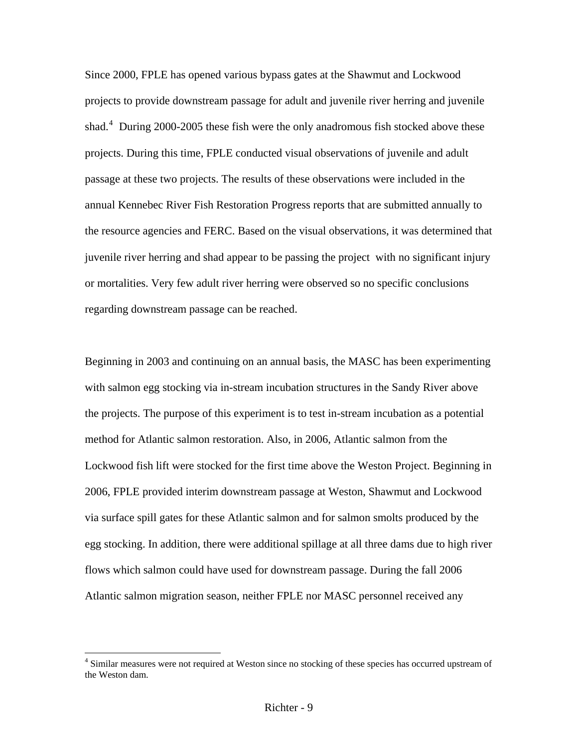Since 2000, FPLE has opened various bypass gates at the Shawmut and Lockwood projects to provide downstream passage for adult and juvenile river herring and juvenile shad.<sup>[4](#page-10-0)</sup> During 2000-2005 these fish were the only anadromous fish stocked above these projects. During this time, FPLE conducted visual observations of juvenile and adult passage at these two projects. The results of these observations were included in the annual Kennebec River Fish Restoration Progress reports that are submitted annually to the resource agencies and FERC. Based on the visual observations, it was determined that juvenile river herring and shad appear to be passing the project with no significant injury or mortalities. Very few adult river herring were observed so no specific conclusions regarding downstream passage can be reached.

Beginning in 2003 and continuing on an annual basis, the MASC has been experimenting with salmon egg stocking via in-stream incubation structures in the Sandy River above the projects. The purpose of this experiment is to test in-stream incubation as a potential method for Atlantic salmon restoration. Also, in 2006, Atlantic salmon from the Lockwood fish lift were stocked for the first time above the Weston Project. Beginning in 2006, FPLE provided interim downstream passage at Weston, Shawmut and Lockwood via surface spill gates for these Atlantic salmon and for salmon smolts produced by the egg stocking. In addition, there were additional spillage at all three dams due to high river flows which salmon could have used for downstream passage. During the fall 2006 Atlantic salmon migration season, neither FPLE nor MASC personnel received any

<span id="page-10-0"></span><sup>&</sup>lt;sup>4</sup> Similar measures were not required at Weston since no stocking of these species has occurred upstream of the Weston dam.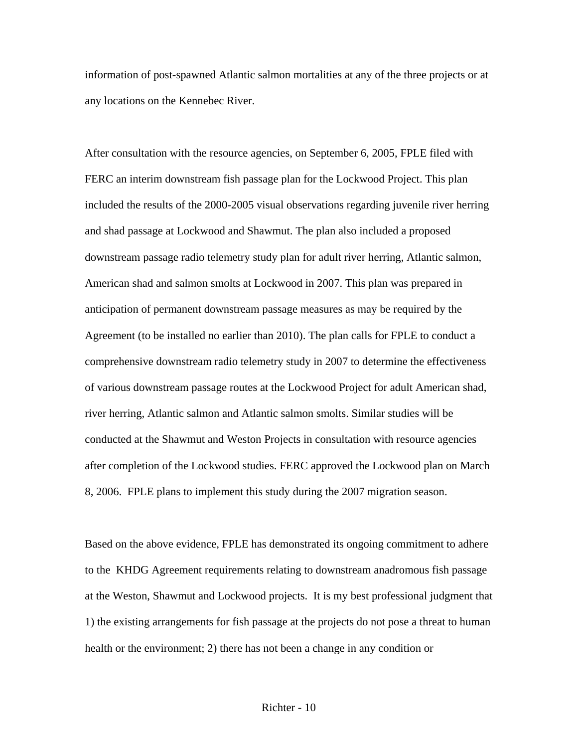information of post-spawned Atlantic salmon mortalities at any of the three projects or at any locations on the Kennebec River.

After consultation with the resource agencies, on September 6, 2005, FPLE filed with FERC an interim downstream fish passage plan for the Lockwood Project. This plan included the results of the 2000-2005 visual observations regarding juvenile river herring and shad passage at Lockwood and Shawmut. The plan also included a proposed downstream passage radio telemetry study plan for adult river herring, Atlantic salmon, American shad and salmon smolts at Lockwood in 2007. This plan was prepared in anticipation of permanent downstream passage measures as may be required by the Agreement (to be installed no earlier than 2010). The plan calls for FPLE to conduct a comprehensive downstream radio telemetry study in 2007 to determine the effectiveness of various downstream passage routes at the Lockwood Project for adult American shad, river herring, Atlantic salmon and Atlantic salmon smolts. Similar studies will be conducted at the Shawmut and Weston Projects in consultation with resource agencies after completion of the Lockwood studies. FERC approved the Lockwood plan on March 8, 2006. FPLE plans to implement this study during the 2007 migration season.

Based on the above evidence, FPLE has demonstrated its ongoing commitment to adhere to the KHDG Agreement requirements relating to downstream anadromous fish passage at the Weston, Shawmut and Lockwood projects. It is my best professional judgment that 1) the existing arrangements for fish passage at the projects do not pose a threat to human health or the environment; 2) there has not been a change in any condition or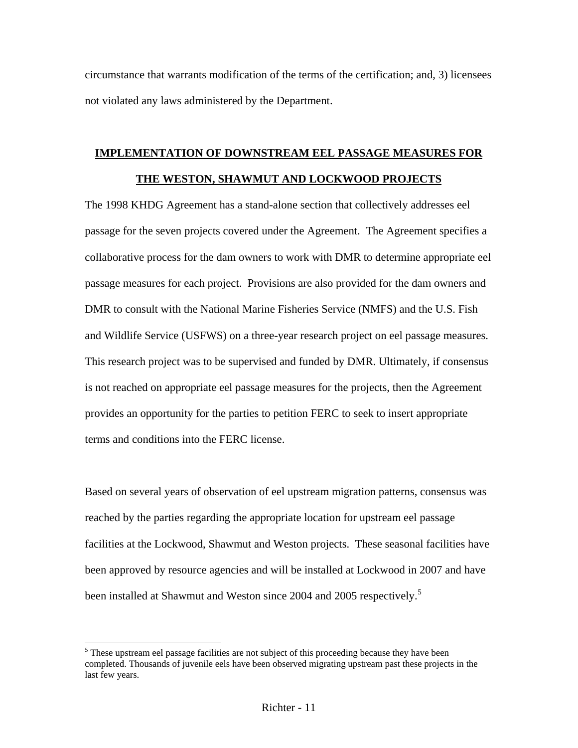circumstance that warrants modification of the terms of the certification; and, 3) licensees not violated any laws administered by the Department.

# **IMPLEMENTATION OF DOWNSTREAM EEL PASSAGE MEASURES FOR THE WESTON, SHAWMUT AND LOCKWOOD PROJECTS**

The 1998 KHDG Agreement has a stand-alone section that collectively addresses eel passage for the seven projects covered under the Agreement. The Agreement specifies a collaborative process for the dam owners to work with DMR to determine appropriate eel passage measures for each project. Provisions are also provided for the dam owners and DMR to consult with the National Marine Fisheries Service (NMFS) and the U.S. Fish and Wildlife Service (USFWS) on a three-year research project on eel passage measures. This research project was to be supervised and funded by DMR. Ultimately, if consensus is not reached on appropriate eel passage measures for the projects, then the Agreement provides an opportunity for the parties to petition FERC to seek to insert appropriate terms and conditions into the FERC license.

Based on several years of observation of eel upstream migration patterns, consensus was reached by the parties regarding the appropriate location for upstream eel passage facilities at the Lockwood, Shawmut and Weston projects. These seasonal facilities have been approved by resource agencies and will be installed at Lockwood in 2007 and have been installed at Shawmut and Weston since 2004 and 200[5](#page-12-0) respectively.<sup>5</sup>

<span id="page-12-0"></span><sup>&</sup>lt;sup>5</sup> These upstream eel passage facilities are not subject of this proceeding because they have been completed. Thousands of juvenile eels have been observed migrating upstream past these projects in the last few years.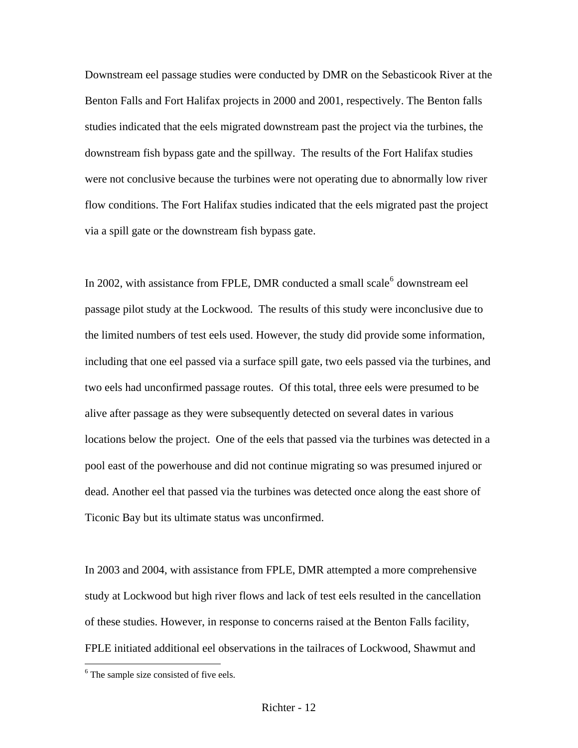Downstream eel passage studies were conducted by DMR on the Sebasticook River at the Benton Falls and Fort Halifax projects in 2000 and 2001, respectively. The Benton falls studies indicated that the eels migrated downstream past the project via the turbines, the downstream fish bypass gate and the spillway. The results of the Fort Halifax studies were not conclusive because the turbines were not operating due to abnormally low river flow conditions. The Fort Halifax studies indicated that the eels migrated past the project via a spill gate or the downstream fish bypass gate.

In 2002, with assistance from FPLE, DMR conducted a small scale $^6$  $^6$  downstream eel passage pilot study at the Lockwood. The results of this study were inconclusive due to the limited numbers of test eels used. However, the study did provide some information, including that one eel passed via a surface spill gate, two eels passed via the turbines, and two eels had unconfirmed passage routes. Of this total, three eels were presumed to be alive after passage as they were subsequently detected on several dates in various locations below the project. One of the eels that passed via the turbines was detected in a pool east of the powerhouse and did not continue migrating so was presumed injured or dead. Another eel that passed via the turbines was detected once along the east shore of Ticonic Bay but its ultimate status was unconfirmed.

In 2003 and 2004, with assistance from FPLE, DMR attempted a more comprehensive study at Lockwood but high river flows and lack of test eels resulted in the cancellation of these studies. However, in response to concerns raised at the Benton Falls facility, FPLE initiated additional eel observations in the tailraces of Lockwood, Shawmut and

<span id="page-13-0"></span><sup>&</sup>lt;sup>6</sup> The sample size consisted of five eels.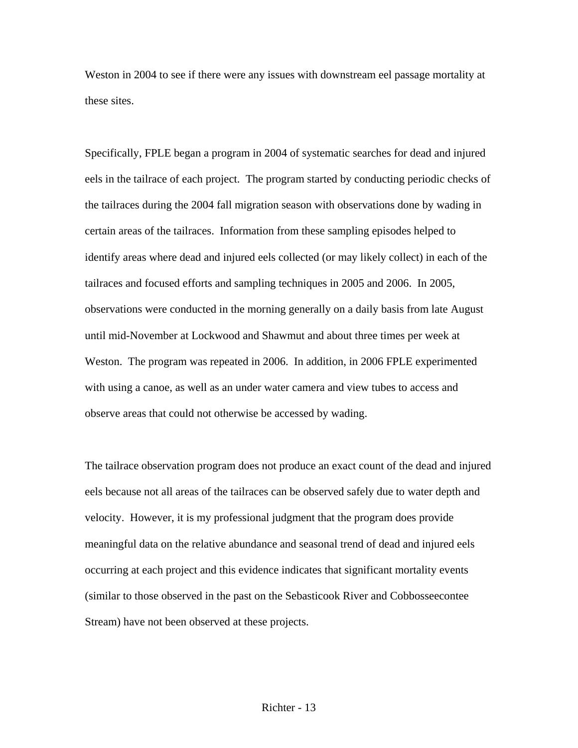Weston in 2004 to see if there were any issues with downstream eel passage mortality at these sites.

Specifically, FPLE began a program in 2004 of systematic searches for dead and injured eels in the tailrace of each project. The program started by conducting periodic checks of the tailraces during the 2004 fall migration season with observations done by wading in certain areas of the tailraces. Information from these sampling episodes helped to identify areas where dead and injured eels collected (or may likely collect) in each of the tailraces and focused efforts and sampling techniques in 2005 and 2006. In 2005, observations were conducted in the morning generally on a daily basis from late August until mid-November at Lockwood and Shawmut and about three times per week at Weston. The program was repeated in 2006. In addition, in 2006 FPLE experimented with using a canoe, as well as an under water camera and view tubes to access and observe areas that could not otherwise be accessed by wading.

The tailrace observation program does not produce an exact count of the dead and injured eels because not all areas of the tailraces can be observed safely due to water depth and velocity. However, it is my professional judgment that the program does provide meaningful data on the relative abundance and seasonal trend of dead and injured eels occurring at each project and this evidence indicates that significant mortality events (similar to those observed in the past on the Sebasticook River and Cobbosseecontee Stream) have not been observed at these projects.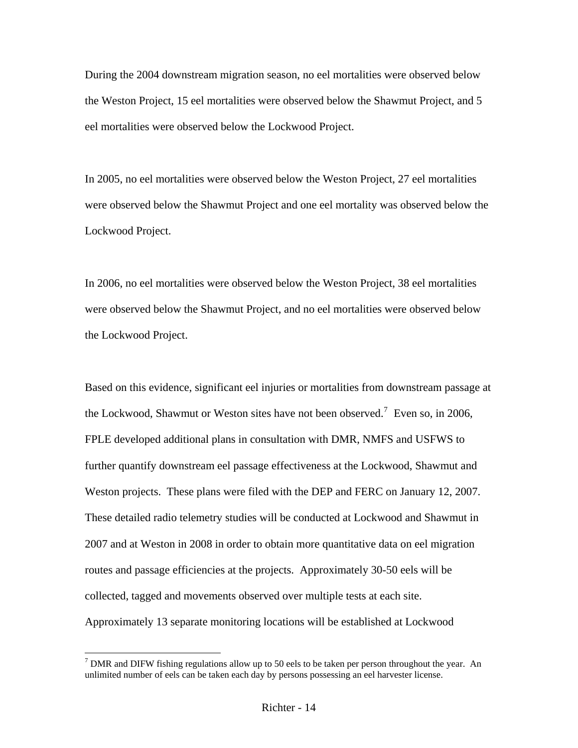During the 2004 downstream migration season, no eel mortalities were observed below the Weston Project, 15 eel mortalities were observed below the Shawmut Project, and 5 eel mortalities were observed below the Lockwood Project.

In 2005, no eel mortalities were observed below the Weston Project, 27 eel mortalities were observed below the Shawmut Project and one eel mortality was observed below the Lockwood Project.

In 2006, no eel mortalities were observed below the Weston Project, 38 eel mortalities were observed below the Shawmut Project, and no eel mortalities were observed below the Lockwood Project.

Based on this evidence, significant eel injuries or mortalities from downstream passage at the Lockwood, Shawmut or Weston sites have not been observed.<sup>[7](#page-15-0)</sup> Even so, in 2006, FPLE developed additional plans in consultation with DMR, NMFS and USFWS to further quantify downstream eel passage effectiveness at the Lockwood, Shawmut and Weston projects. These plans were filed with the DEP and FERC on January 12, 2007. These detailed radio telemetry studies will be conducted at Lockwood and Shawmut in 2007 and at Weston in 2008 in order to obtain more quantitative data on eel migration routes and passage efficiencies at the projects. Approximately 30-50 eels will be collected, tagged and movements observed over multiple tests at each site. Approximately 13 separate monitoring locations will be established at Lockwood

<span id="page-15-0"></span><sup>&</sup>lt;sup>7</sup> DMR and DIFW fishing regulations allow up to 50 eels to be taken per person throughout the year. An unlimited number of eels can be taken each day by persons possessing an eel harvester license.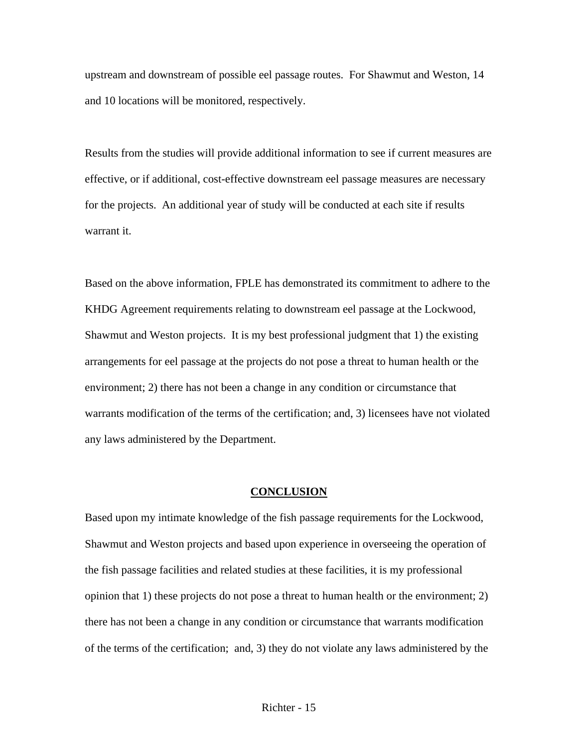upstream and downstream of possible eel passage routes. For Shawmut and Weston, 14 and 10 locations will be monitored, respectively.

Results from the studies will provide additional information to see if current measures are effective, or if additional, cost-effective downstream eel passage measures are necessary for the projects. An additional year of study will be conducted at each site if results warrant it.

Based on the above information, FPLE has demonstrated its commitment to adhere to the KHDG Agreement requirements relating to downstream eel passage at the Lockwood, Shawmut and Weston projects. It is my best professional judgment that 1) the existing arrangements for eel passage at the projects do not pose a threat to human health or the environment; 2) there has not been a change in any condition or circumstance that warrants modification of the terms of the certification; and, 3) licensees have not violated any laws administered by the Department.

#### **CONCLUSION**

Based upon my intimate knowledge of the fish passage requirements for the Lockwood, Shawmut and Weston projects and based upon experience in overseeing the operation of the fish passage facilities and related studies at these facilities, it is my professional opinion that 1) these projects do not pose a threat to human health or the environment; 2) there has not been a change in any condition or circumstance that warrants modification of the terms of the certification; and, 3) they do not violate any laws administered by the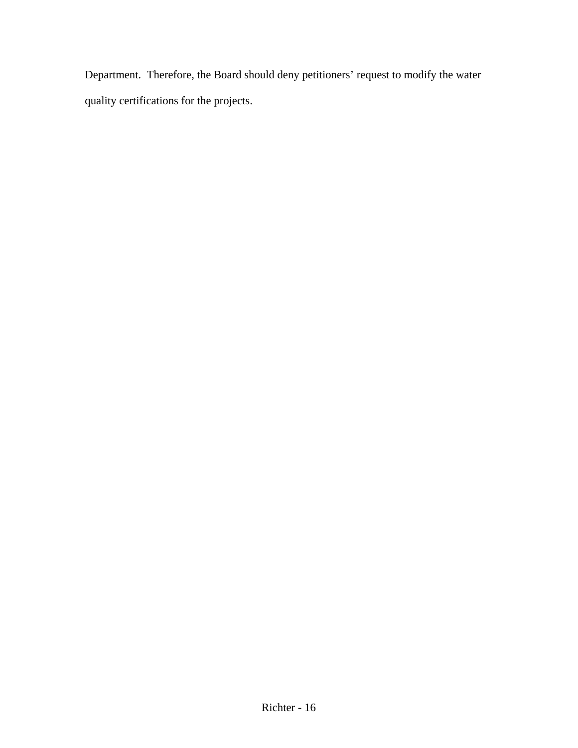Department. Therefore, the Board should deny petitioners' request to modify the water quality certifications for the projects.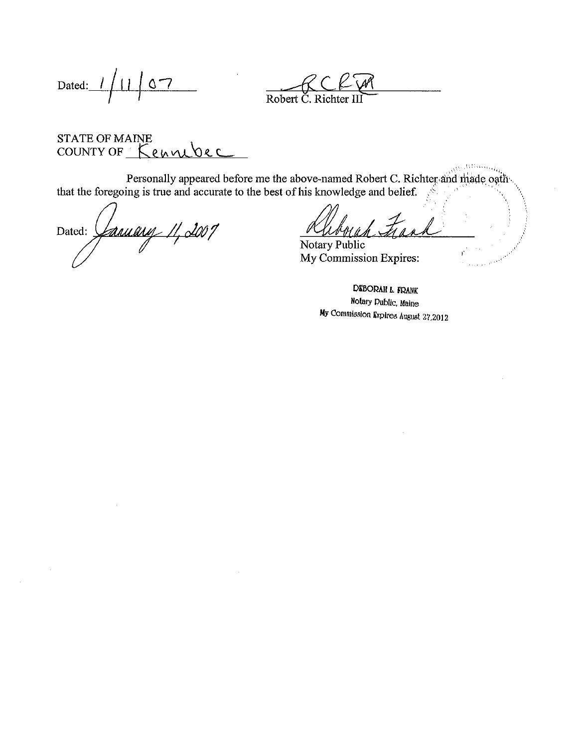Dated:  $1/11$ <u>' 57</u>

Robert C. Richter

### **STATE OF MAINE** COUNTY OF Kennebec

Personally appeared before me the above-named Robert C. Richter and made oath that the foregoing is true and accurate to the best of his knowledge and belief.

faway 11, 2001 Dated:  $\int$ 

Notary Public My Commission Expires:

DEBORAH L. FRANK Notary Dublic, Maine My Commission Expires August 27,2012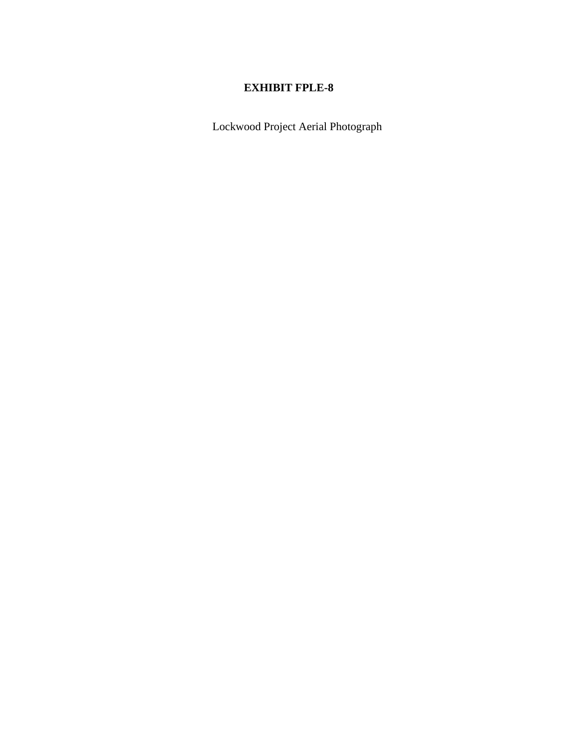Lockwood Project Aerial Photograph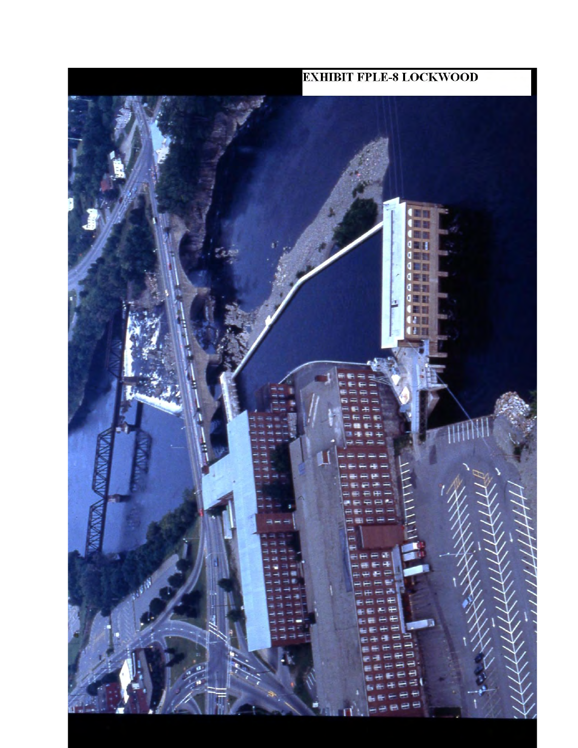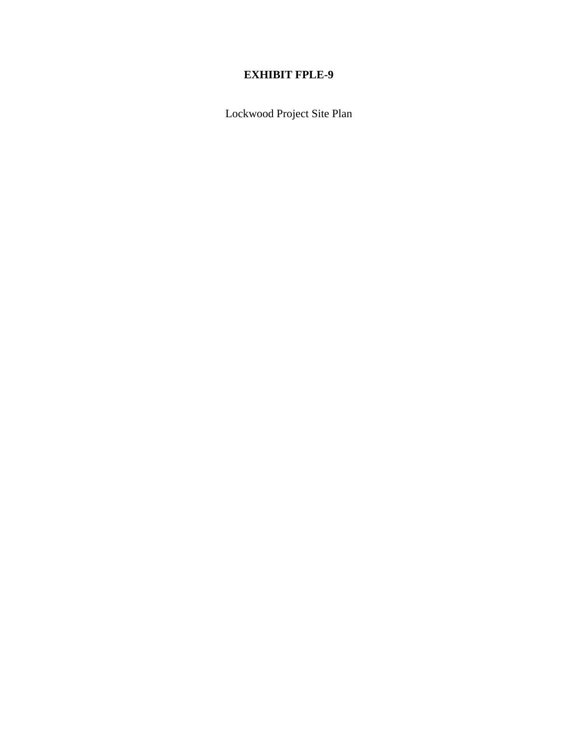Lockwood Project Site Plan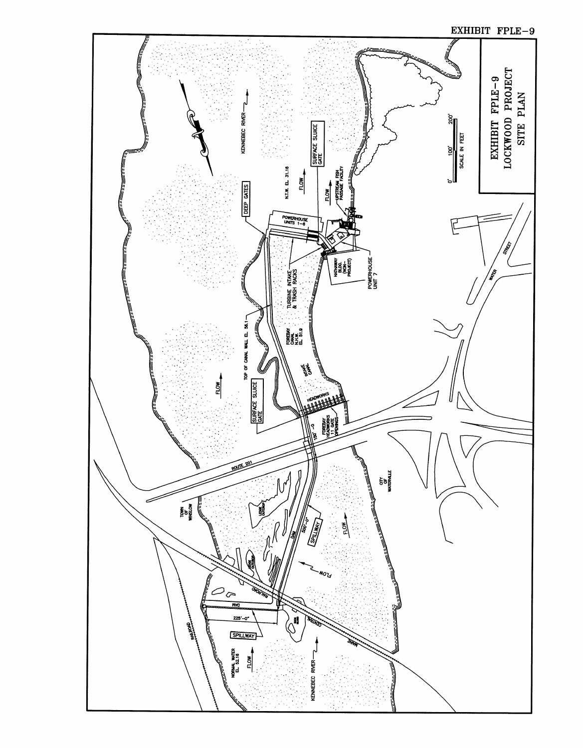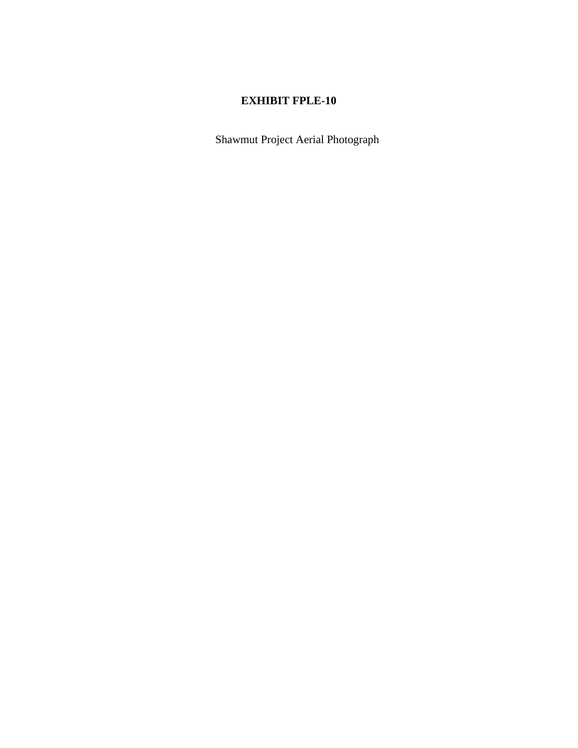Shawmut Project Aerial Photograph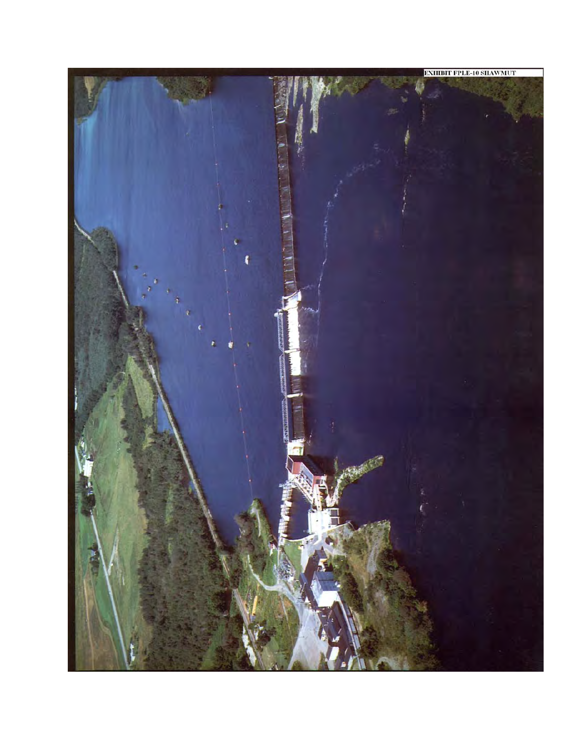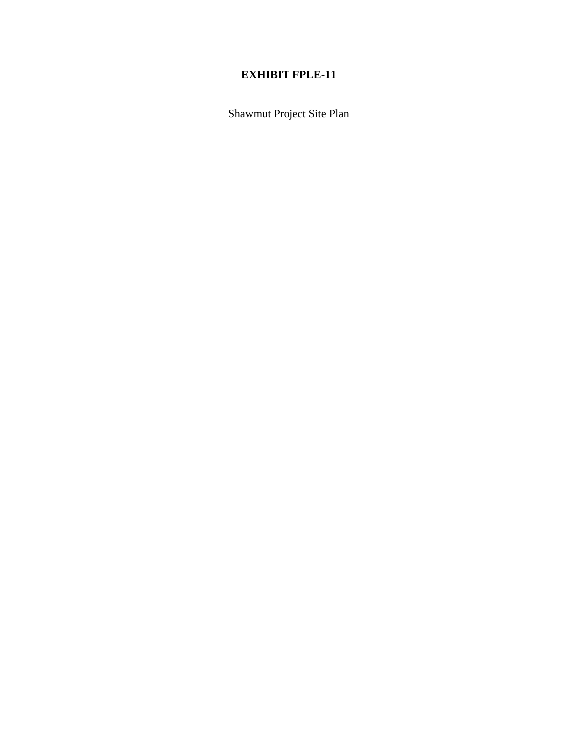Shawmut Project Site Plan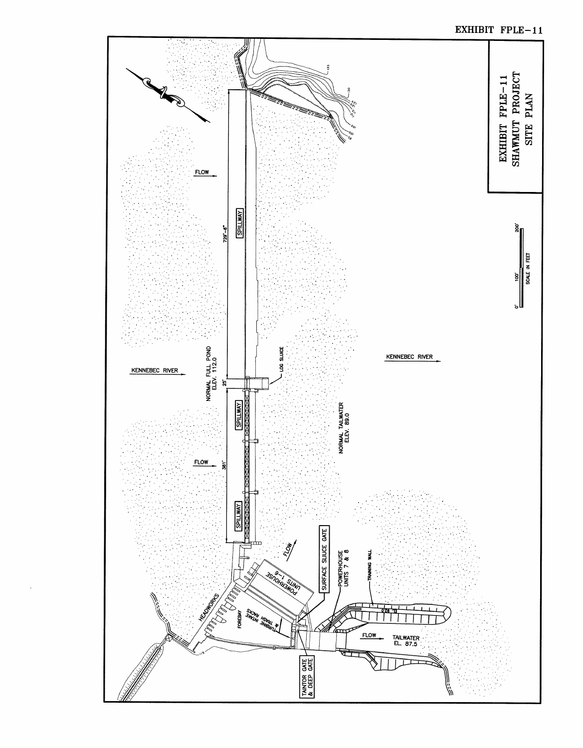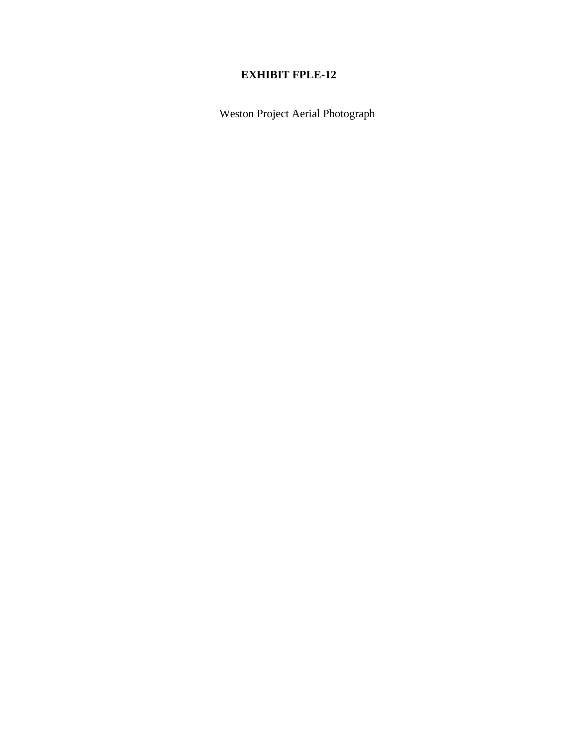Weston Project Aerial Photograph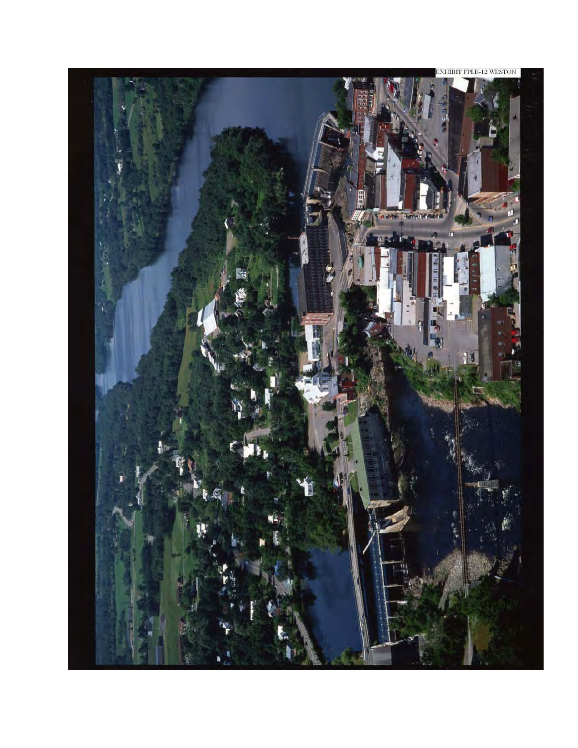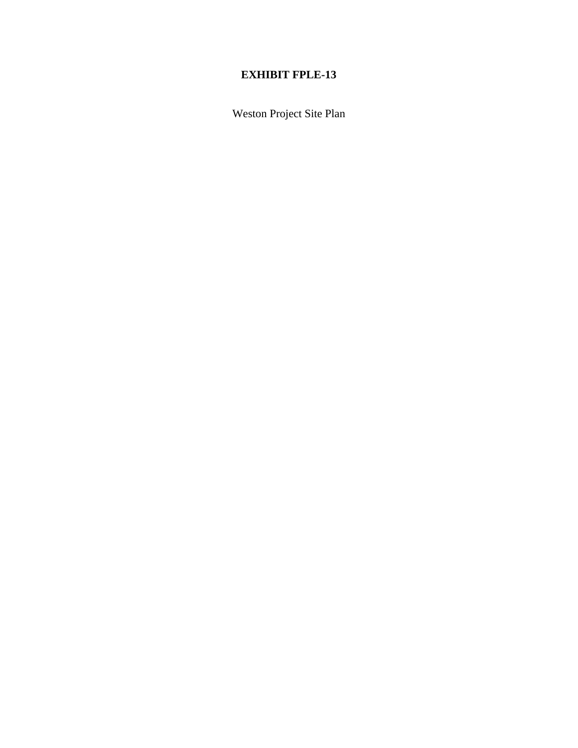Weston Project Site Plan